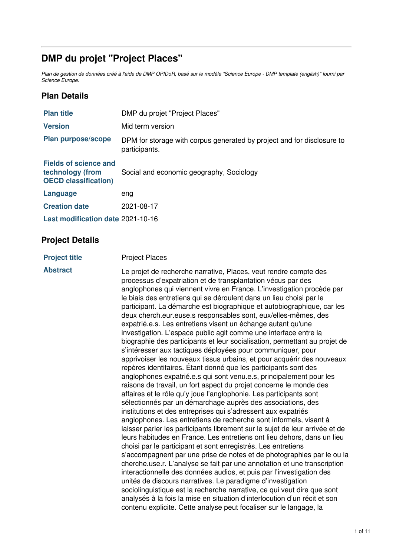# **DMP du projet "Project Places"**

Plan de gestion de données créé à l'aide de DMP OPIDoR, basé sur le modèle "Science Europe - DMP template (english)" fourni par *Science Europe.*

# **Plan Details**

| <b>Plan title</b>                                                               | DMP du projet "Project Places"                                                          |
|---------------------------------------------------------------------------------|-----------------------------------------------------------------------------------------|
| <b>Version</b>                                                                  | Mid term version                                                                        |
| <b>Plan purpose/scope</b>                                                       | DPM for storage with corpus generated by project and for disclosure to<br>participants. |
| <b>Fields of science and</b><br>technology (from<br><b>OECD classification)</b> | Social and economic geography, Sociology                                                |
| <b>Language</b>                                                                 | eng                                                                                     |
| <b>Creation date</b>                                                            | 2021-08-17                                                                              |
| Last modification date 2021-10-16                                               |                                                                                         |

# **Project Details**

| <b>Abstract</b><br>Le projet de recherche narrative, Places, veut rendre compte des<br>processus d'expatriation et de transplantation vécus par des<br>anglophones qui viennent vivre en France. L'investigation procède par<br>le biais des entretiens qui se déroulent dans un lieu choisi par le<br>participant. La démarche est biographique et autobiographique, car les<br>deux cherch.eur.euse.s responsables sont, eux/elles-mêmes, des<br>expatrié.e.s. Les entretiens visent un échange autant qu'une<br>investigation. L'espace public agit comme une interface entre la<br>biographie des participants et leur socialisation, permettant au projet de                                                                                                                                                                                                                                                                                                                                                                                                                                                                                         |  |
|-----------------------------------------------------------------------------------------------------------------------------------------------------------------------------------------------------------------------------------------------------------------------------------------------------------------------------------------------------------------------------------------------------------------------------------------------------------------------------------------------------------------------------------------------------------------------------------------------------------------------------------------------------------------------------------------------------------------------------------------------------------------------------------------------------------------------------------------------------------------------------------------------------------------------------------------------------------------------------------------------------------------------------------------------------------------------------------------------------------------------------------------------------------|--|
| s'intéresser aux tactiques déployées pour communiquer, pour<br>apprivoiser les nouveaux tissus urbains, et pour acquérir des nouveaux<br>repères identitaires. Etant donné que les participants sont des<br>anglophones expatrié e s qui sont venu e s, principalement pour les<br>raisons de travail, un fort aspect du projet concerne le monde des<br>affaires et le rôle qu'y joue l'anglophonie. Les participants sont<br>sélectionnés par un démarchage auprès des associations, des<br>institutions et des entreprises qui s'adressent aux expatriés<br>anglophones. Les entretiens de recherche sont informels, visant à<br>laisser parler les participants librement sur le sujet de leur arrivée et de<br>leurs habitudes en France. Les entretiens ont lieu dehors, dans un lieu<br>choisi par le participant et sont enregistrés. Les entretiens<br>s'accompagnent par une prise de notes et de photographies par le ou la<br>cherche use r. L'analyse se fait par une annotation et une transcription<br>interactionnelle des données audios, et puis par l'investigation des<br>unités de discours narratives. Le paradigme d'investigation |  |
| sociolinguistique est la recherche narrative, ce qui veut dire que sont<br>analysés à la fois la mise en situation d'interlocution d'un récit et son<br>contenu explicite. Cette analyse peut focaliser sur le langage, la                                                                                                                                                                                                                                                                                                                                                                                                                                                                                                                                                                                                                                                                                                                                                                                                                                                                                                                                |  |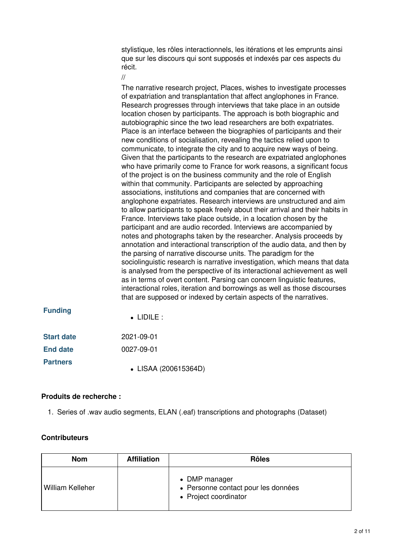stylistique, les rôles interactionnels, les itérations et les emprunts ainsi que sur les discours qui sont supposés et indexés par ces aspects du récit.

### //

The narrative research project, Places, wishes to investigate processes of expatriation and transplantation that affect anglophones in France. Research progresses through interviews that take place in an outside location chosen by participants. The approach is both biographic and autobiographic since the two lead researchers are both expatriates. Place is an interface between the biographies of participants and their new conditions of socialisation, revealing the tactics relied upon to communicate, to integrate the city and to acquire new ways of being. Given that the participants to the research are expatriated anglophones who have primarily come to France for work reasons, a significant focus of the project is on the business community and the role of English within that community. Participants are selected by approaching associations, institutions and companies that are concerned with anglophone expatriates. Research interviews are unstructured and aim to allow participants to speak freely about their arrival and their habits in France. Interviews take place outside, in a location chosen by the participant and are audio recorded. Interviews are accompanied by notes and photographs taken by the researcher. Analysis proceeds by annotation and interactional transcription of the audio data, and then by the parsing of narrative discourse units. The paradigm for the sociolinguistic research is narrative investigation, which means that data is analysed from the perspective of its interactional achievement as well as in terms of overt content. Parsing can concern linguistic features, interactional roles, iteration and borrowings as well as those discourses that are supposed or indexed by certain aspects of the narratives.

| <b>Funding</b>    | $\bullet$ lidile :   |  |
|-------------------|----------------------|--|
| <b>Start date</b> | 2021-09-01           |  |
| <b>End date</b>   | 0027-09-01           |  |
| <b>Partners</b>   | • LISAA (200615364D) |  |

### **Produits de recherche :**

1. Series of .wav audio segments, ELAN (.eaf) transcriptions and photographs (Dataset)

### **Contributeurs**

| <b>Nom</b>              | <b>Affiliation</b> | <b>Rôles</b>                                                                  |
|-------------------------|--------------------|-------------------------------------------------------------------------------|
| <b>William Kelleher</b> |                    | • DMP manager<br>• Personne contact pour les données<br>• Project coordinator |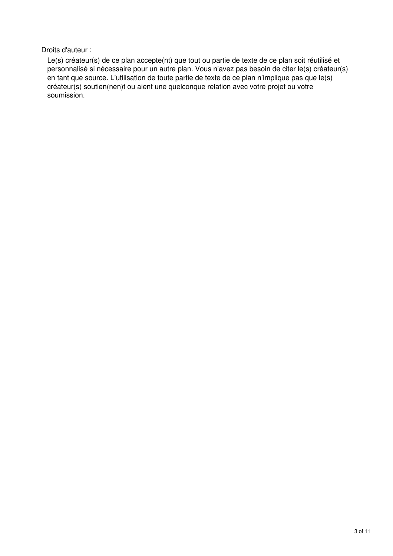Droits d'auteur :

Le(s) créateur(s) de ce plan accepte(nt) que tout ou partie de texte de ce plan soit réutilisé et personnalisé si nécessaire pour un autre plan. Vous n'avez pas besoin de citer le(s) créateur(s) en tant que source. L'utilisation de toute partie de texte de ce plan n'implique pas que le(s) créateur(s) soutien(nen)t ou aient une quelconque relation avec votre projet ou votre soumission.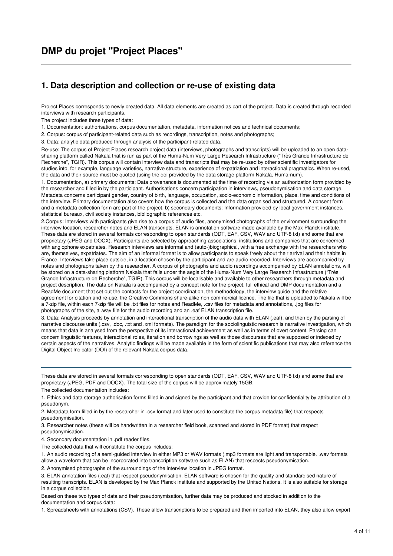# **DMP du projet "Project Places"**

### **1. Data description and collection or re-use of existing data**

Project Places corresponds to newly created data. All data elements are created as part of the project. Data is created through recorded interviews with research participants.

The project includes three types of data:

1. Documentation: authorisations, corpus documentation, metadata, information notices and technical documents;

2. Corpus: corpus of participant-related data such as recordings, transcription, notes and photographs;

3. Data: analytic data produced through analysis of the participant-related data.

Re-use: The corpus of Project Places research project data (interviews, photographs and transcripts) will be uploaded to an open datasharing platform called Nakala that is run as part of the Huma-Num Very Large Research Infrastructure ("Très Grande Infrastructure de Recherche", TGIR). This corpus will contain interview data and transcripts that may be re-used by other scientific investigators for studies into, for example, language varieties, narrative structure, experience of expatriation and interactional pragmatics. When re-used, the data and their source must be quoted (using the doi provided by the data storage platform Nakala, Huma-num).

1. Documentation, a) primary documents: Data provenance is documented at the time of recording via an authorization form provided by the researcher and filled in by the participant. Authorisations concern participation in interviews, pseudonymisation and data storage. Metadata concerns participant gender, country of birth, language, occupation, socio-economic information, place, time and conditions of the interview. Primary documentation also covers how the corpus is collected and the data organised and structured. A consent form and a metadata collection form are part of the project. b) secondary documents: Information provided by local government instances, statistical bureaux, civil society instances, bibliographic references etc.

2.Corpus: Interviews with participants give rise to a corpus of audio files, anonymised photographs of the environment surrounding the interview location, researcher notes and ELAN transcripts. ELAN is annotation software made available by the Max Planck institute. These data are stored in several formats corresponding to open standards (ODT, EAF, CSV, WAV and UTF-8 txt) and some that are proprietary (JPEG and DOCX). Participants are selected by approaching associations, institutions and companies that are concerned with anglophone expatriates. Research interviews are informal and (auto-)biographical, with a free exchange with the researchers who are, themselves, expatriates. The aim of an informal format is to allow participants to speak freely about their arrival and their habits in France. Interviews take place outside, in a location chosen by the participant and are audio recorded. Interviews are accompanied by notes and photographs taken by the researcher. A corpus of photographs and audio recordings accompanied by ELAN annotations, will be stored on a data-sharing platform Nakala that falls under the aegis of the Huma-Num Very Large Research Infrastructure ("Très Grande Infrastructure de Recherche", TGIR). This corpus will be localisable and available to other researchers through metadata and project description. The data on Nakala is accompanied by a concept note for the project, full ethical and DMP documentation and a ReadMe document that set out the contacts for the project coordination, the methodology, the interview guide and the relative agreement for citation and re-use, the Creative Commons share-alike non commercial licence. The file that is uploaded to Nakala will be a 7-zip file, within each 7-zip file will be .txt files for notes and ReadMe, .csv files for metadata and annotations, .jpg files for photographs of the site, a .wav file for the audio recording and an .eaf ELAN transcription file.

3. Data: Analysis proceeds by annotation and interactional transcription of the audio data with ELAN (.eaf), and then by the parsing of narrative discourse units (.csv, .doc, .txt and .xml formats). The paradigm for the sociolinguistic research is narrative investigation, which means that data is analysed from the perspective of its interactional achievement as well as in terms of overt content. Parsing can concern linguistic features, interactional roles, iteration and borrowings as well as those discourses that are supposed or indexed by certain aspects of the narratives. Analytic findings will be made available in the form of scientific publications that may also reference the Digital Object Indicator (DOI) of the relevant Nakala corpus data.

These data are stored in several formats corresponding to open standards (ODT, EAF, CSV, WAV and UTF-8 txt) and some that are proprietary (JPEG, PDF and DOCX). The total size of the corpus will be approximately 15GB.

The collected documentation includes:

1. Ethics and data storage authorisation forms filled in and signed by the participant and that provide for confidentiality by attribution of a pseudonym.

2. Metadata form filled in by the researcher in .csv format and later used to constitute the corpus metadata file) that respects pseudonymisation.

3. Researcher notes (these will be handwritten in a researcher field book, scanned and stored in PDF format) that respect pseudonymisation.

4. Secondary documentation in .pdf reader files.

The collected data that will constitute the corpus includes:

1. An audio recording of a semi-guided interview in either MP3 or WAV formats (.mp3 formats are light and transportable. .wav formats allow a waveform that can be incorporated into transcription software such as ELAN) that respects pseudonymisation.

2. Anonymised photographs of the surroundings of the interview location in JPEG format.

Based on these two types of data and their pseudonymisation, further data may be produced and stocked in addition to the documentation and corpus data:

1. Spreadsheets with annotations (CSV). These allow transcriptions to be prepared and then imported into ELAN, they also allow export

<sup>3.</sup> ELAN annotation files (.eaf) that respect pseudonymisation. ELAN software is chosen for the quality and standardised nature of resulting transcripts. ELAN is developed by the Max Planck institute and supported by the United Nations. It is also suitable for storage in a corpus collection.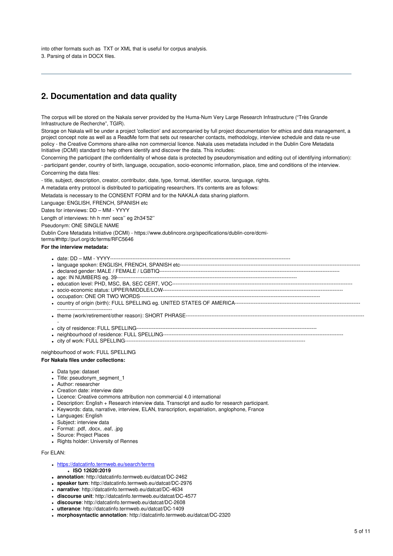into other formats such as TXT or XML that is useful for corpus analysis. 3. Parsing of data in DOCX files.

# **2. Documentation and data quality**

The corpus will be stored on the Nakala server provided by the Huma-Num Very Large Research Infrastructure ("Très Grande Infrastructure de Recherche", TGIR).

Storage on Nakala will be under a project 'collection' and accompanied by full project documentation for ethics and data management, a project concept note as well as a ReadMe form that sets out researcher contacts, methodology, interview schedule and data re-use policy - the Creative Commons share-alike non commercial licence. Nakala uses metadata included in the Dublin Core Metadata Initiative (DCMI) standard to help others identify and discover the data. This includes:

Concerning the participant (the confidentiality of whose data is protected by pseudonymisation and editing out of identifying information): - participant gender, country of birth, language, occupation, socio-economic information, place, time and conditions of the interview.

Concerning the data files:

- title, subject, description, creator, contributor, date, type, format, identifier, source, language, rights.

A metadata entry protocol is distributed to participating researchers. It's contents are as follows:

Metadata is necessary to the CONSENT FORM and for the NAKALA data sharing platform.

Language: ENGLISH, FRENCH, SPANISH etc

Dates for interviews: DD – MM - YYYY

Length of interviews: hh h mm' secs'' eg 2h34'52''

Pseudonym: ONE SINGLE NAME

Dublin Core Metadata Initiative (DCMI) - https://www.dublincore.org/specifications/dublin-core/dcmi-

terms/#http://purl.org/dc/terms/RFC5646

#### **For the interview metadata:**

- date: DD MM YYYY---------------------------------------------------------------------------------------------------------
- language spoken: ENGLISH, FRENCH, SPANISH etc---------------------------------------------------------------------------------------------------------
- declared gender: MALE / FEMALE / LGBTIQ---------------------------------------------------------------------------------------------------------
- age: IN NUMBERS eg. 39---------------------------------------------------------------------------------------------------------
- education level: PHD, MSC, BA, SEC CERT, VOC---------------------------------------------------------------------------------------------------------
- socio-economic status: UPPER/MIDDLE/LOW---------------------------------------------------------------------------------------------------------
- occupation: ONE OR TWO WORDS---------------------------------------------------------------------------------------------------------
- country of origin (birth): FULL SPELLING eg. UNITED STATES OF AMERICA------------------------------------------------------------------------- --------------------------------
- theme (work/retirement/other reason): SHORT PHRASE--------------------------------------------------------------------------------------------------------
- city of residence: FULL SPELLING---------------------------------------------------------------------------------------------------------
- neighbourhood of residence: FULL SPELLING---------------------------------------------------------------------------------------------------------
- city of work: FULL SPELLING------

neighbourhood of work: FULL SPELLING **For Nakala files under collections:**

- Data type: dataset
- Title: pseudonym\_segment\_1
- Author: researcher
- Creation date: interview date
- Licence: Creative commons attribution non commercial 4.0 international
- Description: English + Research interview data. Transcript and audio for research participant.
- Keywords: data, narrative, interview, ELAN, transcription, expatriation, anglophone, France
- Languages: English
- Subject: interview data
- Format: .pdf, .docx, .eaf, .jpg
- Source: Project Places
- Rights holder: University of Rennes

For ELAN:

- 
- <https://datcatinfo.termweb.eu/search/terms> **ISO 12620:2019**
- **annotation**: http://datcatinfo.termweb.eu/datcat/DC-2462
- **speaker turn**: http://datcatinfo.termweb.eu/datcat/DC-2976
- **narrative**: http://datcatinfo.termweb.eu/datcat/DC-4634
- **discourse unit**: http://datcatinfo.termweb.eu/datcat/DC-4577
- **discourse**: http://datcatinfo.termweb.eu/datcat/DC-2608
- **utterance**: http://datcatinfo.termweb.eu/datcat/DC-1409
- **morphosyntactic annotation**: http://datcatinfo.termweb.eu/datcat/DC-2320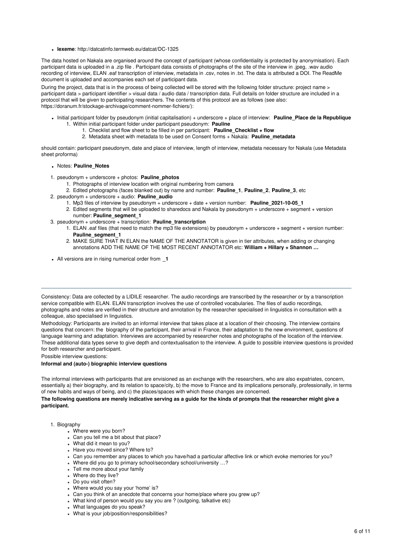**lexeme**: http://datcatinfo.termweb.eu/datcat/DC-1325

The data hosted on Nakala are organised around the concept of participant (whose confidentiality is protected by anonymisation). Each participant data is uploaded in a .zip file . Participant data consists of photographs of the site of the interview in .jpeg, .wav audio recording of interview, ELAN .eaf transcription of interview, metadata in .csv, notes in .txt. The data is attributed a DOI. The ReadMe document is uploaded and accompanies each set of participant data.

During the project, data that is in the process of being collected will be stored with the following folder structure: project name > participant data > participant identifier > visual data / audio data / transcription data. Full details on folder structure are included in a protocol that will be given to participating researchers. The contents of this protocol are as follows (see also: https://doranum.fr/stockage-archivage/comment-nommer-fichiers/):

- Initial participant folder by pseudonym (initial capitalisation) + underscore + place of interview: **Pauline\_Place de la Republique** 1. Within initial participant folder under participant pseudonym: **Pauline**
	- 1. Checklist and flow sheet to be filled in per participant: **Pauline\_Checklist + flow**
	- 2. Metadata sheet with metadata to be used on Consent forms + Nakala: **Pauline\_metadata**

should contain: participant pseudonym, date and place of interview, length of interview, metadata necessary for Nakala (use Metadata sheet proforma)

#### Notes: **Pauline\_Notes**

- 1. pseudonym + underscore + photos: **Pauline\_photos**
	- 1. Photographs of interview location with original numbering from camera
	- 2. Edited photographs (faces blanked out) by name and number: **Pauline\_1**, **Pauline\_2**, **Pauline\_3**, etc
- 2. pseudonym + underscore + audio: **Pauline\_audio**
	- 1. Mp3 files of interview by pseudonym + underscore + date + version number: **Pauline\_2021-10-05\_1**
	- 2. Edited segments that will be uploaded to sharedocs and Nakala by pseudonym + underscore + segment + version number: **Pauline\_segment\_1**
- 3. pseudonym + underscore + transcription: **Pauline\_transcription**
	- 1. ELAN .eaf files (that need to match the mp3 file extensions) by pseudonym + underscore + segment + version number: **Pauline\_segment\_1**
	- 2. MAKE SURE THAT IN ELAN the NAME OF THE ANNOTATOR is given in tier attributes, when adding or changing annotations ADD THE NAME OF THE MOST RECENT ANNOTATOR etc: **William + Hillary + Shannon …**
- All versions are in rising numerical order from **\_1**

Consistency: Data are collected by a LIDILE researcher. The audio recordings are transcribed by the researcher or by a transcription service compatible with ELAN. ELAN transcription involves the use of controlled vocabularies. The files of audio recordings, photographs and notes are verified in their structure and annotation by the researcher specialised in linguistics in consultation with a colleague, also specialised in linguistics.

Methodology: Participants are invited to an informal interview that takes place at a location of their choosing. The interview contains questions that concern: the biography of the participant, their arrival in France, their adaptation to the new environment, questions of language learning and adaptation. Interviews are accompanied by researcher notes and photographs of the location of the interview. These additional data types serve to give depth and contextualisation to the interview. A guide to possible interview questions is provided for both researcher and participant.

Possible interview questions:

#### **Informal and (auto-) biographic interview questions**

The informal interviews with participants that are envisioned as an exchange with the researchers, who are also expatriates, concern, essentially a) their biography, and its relation to space/city, b) the move to France and its implications personally, professionally, in terms of new habits and ways of being, and c) the places/spaces with which these changes are concerned.

The following questions are merely indicative serving as a quide for the kinds of prompts that the researcher might give a **participant.**

#### 1. Biography

- Where were you born?
- Can you tell me a bit about that place?
- What did it mean to you?
- Have you moved since? Where to?
- Can you remember any places to which you have/had a particular affective link or which evoke memories for you?
- Where did you go to primary school/secondary school/university …?
- Tell me more about your family
- Where do they live?
- Do you visit often?
- Where would you say your 'home' is?
- Can you think of an anecdote that concerns your home/place where you grew up?
- What kind of person would you say you are ? (outgoing, talkative etc)
- What languages do you speak?
- What is your job/position/responsibilities?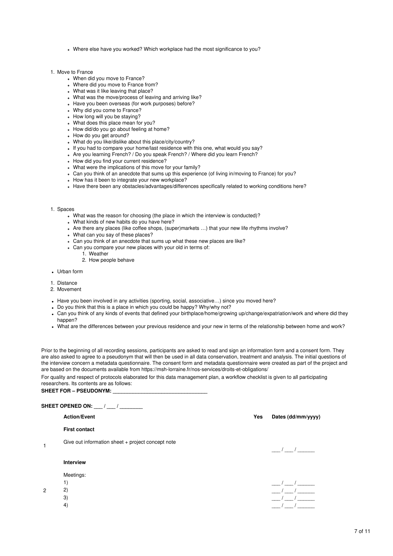- Where else have you worked? Which workplace had the most significance to you?
- 1. Move to France
	- When did you move to France?
	- Where did you move to France from?
	- What was it like leaving that place?
	- What was the move/process of leaving and arriving like?
	- Have you been overseas (for work purposes) before?
	- Why did you come to France?
	- How long will you be staying?
	- What does this place mean for you?
	- How did/do you go about feeling at home?
	- How do you get around?
	- What do you like/dislike about this place/city/country?
	- If you had to compare your home/last residence with this one, what would you say?
	- Are you learning French? / Do you speak French? / Where did you learn French?
	- How did you find your current residence?
	- What were the implications of this move for your family?
	- Can you think of an anecdote that sums up this experience (of living in/moving to France) for you?
	- How has it been to integrate your new workplace?
	- Have there been any obstacles/advantages/differences specifically related to working conditions here?
- 1. Spaces
	- What was the reason for choosing (the place in which the interview is conducted)?
	- What kinds of new habits do you have here?
	- Are there any places (like coffee shops, (super)markets …) that your new life rhythms involve?
	- What can you say of these places?
	- Can you think of an anecdote that sums up what these new places are like?
	- Can you compare your new places with your old in terms of:
		- 1. Weather
		- 2. How people behave
- Urban form
- 1. Distance
- 2. Movement
- Have you been involved in any activities (sporting, social, associative...) since you moved here?
- Do you think that this is a place in which you could be happy? Why/why not?
- Can you think of any kinds of events that defined your birthplace/home/growing up/change/expatriation/work and where did they happen?
- What are the differences between your previous residence and your new in terms of the relationship between home and work?

Prior to the beginning of all recording sessions, participants are asked to read and sign an information form and a consent form. They are also asked to agree to a pseudonym that will then be used in all data conservation, treatment and analysis. The initial questions of the interview concern a metadata questionnaire. The consent form and metadata questionnaire were created as part of the project and are based on the documents available from https://msh-lorraine.fr/nos-services/droits-et-obligations/

For quality and respect of protocols elaborated for this data management plan, a workflow checklist is given to all participating researchers. Its contents are as follows:

**SHEET FOR – PSEUDONYM: \_\_\_\_\_\_\_\_\_\_\_\_\_\_\_\_\_\_\_\_\_\_\_\_\_\_\_\_\_\_\_\_\_**

4)

**SHEET OPENED ON: \_\_\_ / \_\_\_ / \_\_\_\_\_\_\_\_**

|   | <b>Action/Event</b>                               | Yes | Dates (dd/mm/yyyy) |
|---|---------------------------------------------------|-----|--------------------|
|   | <b>First contact</b>                              |     |                    |
| 1 | Give out information sheet + project concept note |     |                    |
|   | Interview                                         |     |                    |
|   | Meetings:                                         |     |                    |
|   | 1)                                                |     |                    |
| 2 | 2)                                                |     |                    |
|   | 3)                                                |     |                    |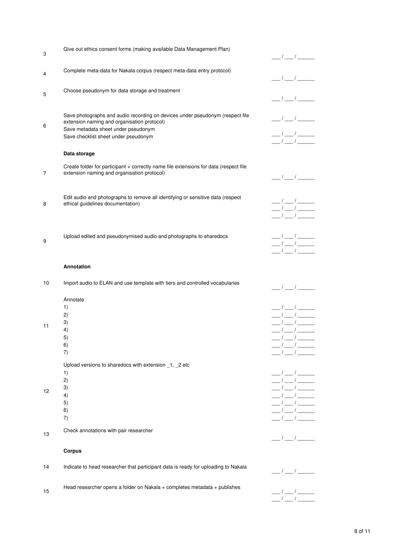| 3  | Give out ethics consent forms (making available Data Management Plan)                                                                                                                                       | $\frac{\frac{1}{2}}{2}$                                                                                                                                                                                                                                                                                                                                                                                                                                                                                                                                                                                                                                                                                                                                                                                                                                                                                                                                                                                                                                                                                    |
|----|-------------------------------------------------------------------------------------------------------------------------------------------------------------------------------------------------------------|------------------------------------------------------------------------------------------------------------------------------------------------------------------------------------------------------------------------------------------------------------------------------------------------------------------------------------------------------------------------------------------------------------------------------------------------------------------------------------------------------------------------------------------------------------------------------------------------------------------------------------------------------------------------------------------------------------------------------------------------------------------------------------------------------------------------------------------------------------------------------------------------------------------------------------------------------------------------------------------------------------------------------------------------------------------------------------------------------------|
| 4  | Complete meta-data for Nakala corpus (respect meta-data entry protocol)                                                                                                                                     | $\frac{1}{2}$ / $\frac{1}{2}$ / $\frac{1}{2}$ / $\frac{1}{2}$ / $\frac{1}{2}$ / $\frac{1}{2}$ / $\frac{1}{2}$ / $\frac{1}{2}$ / $\frac{1}{2}$ / $\frac{1}{2}$ / $\frac{1}{2}$ / $\frac{1}{2}$ / $\frac{1}{2}$ / $\frac{1}{2}$ / $\frac{1}{2}$ / $\frac{1}{2}$ / $\frac{1}{2}$ / $\frac{1}{2}$ / $\frac{1$                                                                                                                                                                                                                                                                                                                                                                                                                                                                                                                                                                                                                                                                                                                                                                                                  |
| 5  | Choose pseudonym for data storage and treatment                                                                                                                                                             | $\frac{\mu}{\mu}=\frac{1}{2}\frac{\mu}{\mu}=\frac{1}{2}\frac{\mu}{\mu}=\frac{1}{2}\frac{\mu}{\mu}=\frac{1}{2}\frac{\mu}{\mu}=\frac{1}{2}\frac{\mu}{\mu}=\frac{1}{2}\frac{\mu}{\mu}=\frac{1}{2}\frac{\mu}{\mu}=\frac{1}{2}\frac{\mu}{\mu}=\frac{1}{2}\frac{\mu}{\mu}=\frac{1}{2}\frac{\mu}{\mu}=\frac{1}{2}\frac{\mu}{\mu}=\frac{1}{2}\frac{\mu}{\mu}=\frac{1}{2}\frac{\mu}{\mu}=\frac{1}{2}\frac{\mu}{\mu}=\frac{1}{2}\frac{\mu}{\mu}=\frac$                                                                                                                                                                                                                                                                                                                                                                                                                                                                                                                                                                                                                                                               |
| 6  | Save photographs and audio recording on devices under pseudonym (respect file<br>extension naming and organisation protocol)<br>Save metadata sheet under pseudonym<br>Save checklist sheet under pseudonym | $\frac{1}{2}$ / $\frac{1}{2}$ / $\frac{1}{2}$ / $\frac{1}{2}$ / $\frac{1}{2}$ / $\frac{1}{2}$ / $\frac{1}{2}$ / $\frac{1}{2}$ / $\frac{1}{2}$ / $\frac{1}{2}$ / $\frac{1}{2}$ / $\frac{1}{2}$ / $\frac{1}{2}$ / $\frac{1}{2}$ / $\frac{1}{2}$ / $\frac{1}{2}$ / $\frac{1}{2}$ / $\frac{1}{2}$ / $\frac{1$<br>$\frac{\mu}{\mu}=\frac{1}{\mu}=\frac{1}{\mu}=\frac{1}{\mu}=\frac{1}{\mu}=\frac{1}{\mu}=\frac{1}{\mu}=\frac{1}{\mu}=\frac{1}{\mu}=\frac{1}{\mu}=\frac{1}{\mu}=\frac{1}{\mu}=\frac{1}{\mu}=\frac{1}{\mu}=\frac{1}{\mu}=\frac{1}{\mu}=\frac{1}{\mu}=\frac{1}{\mu}=\frac{1}{\mu}=\frac{1}{\mu}=\frac{1}{\mu}=\frac{1}{\mu}=\frac{1}{\mu}=\frac{1}{\mu}=\frac{1}{\mu}=\frac{1}{\mu}=\frac{1}{\mu}=\frac{1$                                                                                                                                                                                                                                                                                                                                                                                         |
|    | Data storage                                                                                                                                                                                                | $\frac{1}{2}$ / $\frac{1}{2}$ / $\frac{1}{2}$ / $\frac{1}{2}$ / $\frac{1}{2}$ / $\frac{1}{2}$ / $\frac{1}{2}$ / $\frac{1}{2}$ / $\frac{1}{2}$ / $\frac{1}{2}$ / $\frac{1}{2}$ / $\frac{1}{2}$ / $\frac{1}{2}$ / $\frac{1}{2}$ / $\frac{1}{2}$ / $\frac{1}{2}$ / $\frac{1}{2}$ / $\frac{1}{2}$ / $\frac{1$                                                                                                                                                                                                                                                                                                                                                                                                                                                                                                                                                                                                                                                                                                                                                                                                  |
| 7  | Create folder for participant + correctly name file extensions for data (respect file<br>extension naming and organisation protocol)                                                                        | $\frac{\mu}{\mu}$ / $\frac{\mu}{\mu}$ / $\frac{\mu}{\mu}$                                                                                                                                                                                                                                                                                                                                                                                                                                                                                                                                                                                                                                                                                                                                                                                                                                                                                                                                                                                                                                                  |
| 8  | Edit audio and photographs to remove all identifying or sensitive data (respect<br>ethical guidelines documentation)                                                                                        | $\frac{1}{\sqrt{2}}$<br>$\frac{1}{\sqrt{2}}$<br>$\frac{\frac{1}{2}}{2}$                                                                                                                                                                                                                                                                                                                                                                                                                                                                                                                                                                                                                                                                                                                                                                                                                                                                                                                                                                                                                                    |
| 9  | Upload edited and pseudonymised audio and photographs to sharedocs                                                                                                                                          | $\frac{1}{\sqrt{2}}$<br>$\frac{\alpha}{\alpha}$ / $\frac{\alpha}{\alpha}$ / $\frac{\alpha}{\alpha}$                                                                                                                                                                                                                                                                                                                                                                                                                                                                                                                                                                                                                                                                                                                                                                                                                                                                                                                                                                                                        |
|    | <b>Annotation</b>                                                                                                                                                                                           |                                                                                                                                                                                                                                                                                                                                                                                                                                                                                                                                                                                                                                                                                                                                                                                                                                                                                                                                                                                                                                                                                                            |
| 10 | Import audio to ELAN and use template with tiers and controlled vocabularies                                                                                                                                | $\frac{\mu}{\mu}$ / $\frac{\mu}{\mu}$ / $\frac{\mu}{\mu}$                                                                                                                                                                                                                                                                                                                                                                                                                                                                                                                                                                                                                                                                                                                                                                                                                                                                                                                                                                                                                                                  |
| 11 | Annotate<br>1)<br>2)<br>3)<br>4)<br>5)<br>6)<br>7)                                                                                                                                                          | $\frac{1}{\sqrt{2}}$<br>$\frac{\mu}{\mu}=\frac{1}{2}\left( \frac{\mu}{\mu}+\frac{1}{2}\right)$<br>$\frac{\frac{1}{2}}{2}$<br>$\frac{1}{\sqrt{2}}$<br>$-/-/$<br>$\frac{\mu}{\mu}=\frac{1}{2}\frac{\mu}{\mu}=\frac{1}{2}\frac{\mu}{\mu}=\frac{1}{2}\frac{\mu}{\mu}=\frac{1}{2}\frac{\mu}{\mu}=\frac{1}{2}\frac{\mu}{\mu}=\frac{1}{2}\frac{\mu}{\mu}=\frac{1}{2}\frac{\mu}{\mu}=\frac{1}{2}\frac{\mu}{\mu}=\frac{1}{2}\frac{\mu}{\mu}=\frac{1}{2}\frac{\mu}{\mu}=\frac{1}{2}\frac{\mu}{\mu}=\frac{1}{2}\frac{\mu}{\mu}=\frac{1}{2}\frac{\mu}{\mu}=\frac{1}{2}\frac{\mu}{\mu}=\frac{1}{2}\frac{\mu}{\mu}=\frac$<br>$\frac{1}{2}$ / $\frac{1}{2}$ / $\frac{1}{2}$                                                                                                                                                                                                                                                                                                                                                                                                                                               |
| 12 | Upload versions to sharedocs with extension _1, _2 etc<br>1)<br>2)<br>3)<br>4)<br>5)<br>6)<br>7)                                                                                                            | $\frac{\frac{1}{2}}{2}$<br>$\frac{1}{\sqrt{2}}$<br>$\frac{\mu}{\mu}$ / $\frac{\mu}{\mu}$ / $\frac{\mu}{\mu}$<br>$\frac{\mu}{\mu} = \frac{1}{\mu} \left( \frac{\mu}{\mu} \right)^2 \frac{\mu}{\mu} = \frac{1}{\mu} \left( \frac{\mu}{\mu} \right)^2 \frac{\mu}{\mu} = \frac{1}{\mu} \left( \frac{\mu}{\mu} \right)^2 \frac{\mu}{\mu} = \frac{1}{\mu} \left( \frac{\mu}{\mu} \right)^2 \frac{\mu}{\mu} = \frac{1}{\mu} \left( \frac{\mu}{\mu} \right)^2 \frac{\mu}{\mu} = \frac{1}{\mu} \left( \frac{\mu}{\mu} \right)^2 \frac{\mu}{\mu} = \frac{1}{\mu} \left( \frac{\mu}{\mu}$<br>$\frac{\mu}{\mu}=\frac{1}{2}\left( \frac{\mu}{\mu}+\frac{\mu}{2}\right)$<br>$\frac{\mu}{\mu}=\frac{1}{2}\frac{\mu}{\mu}=\frac{1}{2}\frac{\mu}{\mu}=\frac{1}{2}\frac{\mu}{\mu}=\frac{1}{2}\frac{\mu}{\mu}=\frac{1}{2}\frac{\mu}{\mu}=\frac{1}{2}\frac{\mu}{\mu}=\frac{1}{2}\frac{\mu}{\mu}=\frac{1}{2}\frac{\mu}{\mu}=\frac{1}{2}\frac{\mu}{\mu}=\frac{1}{2}\frac{\mu}{\mu}=\frac{1}{2}\frac{\mu}{\mu}=\frac{1}{2}\frac{\mu}{\mu}=\frac{1}{2}\frac{\mu}{\mu}=\frac{1}{2}\frac{\mu}{\mu}=\frac{1}{2}\frac{\mu}{\mu}=\frac$ |
| 13 | Check annotations with pair researcher                                                                                                                                                                      | $\frac{1}{\sqrt{2}}$                                                                                                                                                                                                                                                                                                                                                                                                                                                                                                                                                                                                                                                                                                                                                                                                                                                                                                                                                                                                                                                                                       |
|    | <b>Corpus</b>                                                                                                                                                                                               |                                                                                                                                                                                                                                                                                                                                                                                                                                                                                                                                                                                                                                                                                                                                                                                                                                                                                                                                                                                                                                                                                                            |
| 14 | Indicate to head researcher that participant data is ready for uploading to Nakala                                                                                                                          | $\frac{\alpha}{\alpha}$ / $\frac{\alpha}{\alpha}$ / $\frac{\alpha}{\alpha}$                                                                                                                                                                                                                                                                                                                                                                                                                                                                                                                                                                                                                                                                                                                                                                                                                                                                                                                                                                                                                                |
| 15 | Head researcher opens a folder on Nakala + completes metadata + publishes                                                                                                                                   |                                                                                                                                                                                                                                                                                                                                                                                                                                                                                                                                                                                                                                                                                                                                                                                                                                                                                                                                                                                                                                                                                                            |

8 of 11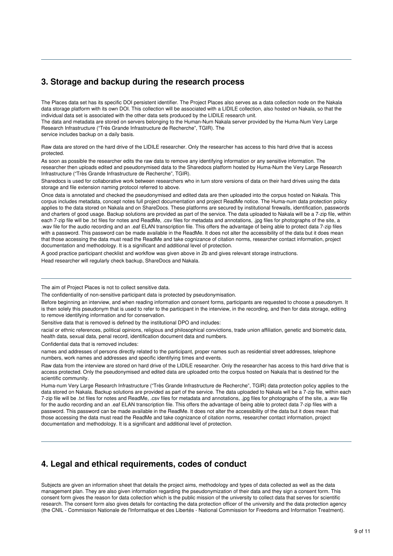### **3. Storage and backup during the research process**

The Places data set has its specific DOI persistent identifier. The Project Places also serves as a data collection node on the Nakala data storage platform with its own DOI. This collection will be associated with a LIDILE collection, also hosted on Nakala, so that the individual data set is associated with the other data sets produced by the LIDILE research unit.

The data and metadata are stored on servers belonging to the Human-Num Nakala server provided by the Huma-Num Very Large Research Infrastructure ("Très Grande Infrastructure de Recherche", TGIR). The

service includes backup on a daily basis.

Raw data are stored on the hard drive of the LIDILE researcher. Only the researcher has access to this hard drive that is access protected.

As soon as possible the researcher edits the raw data to remove any identifying information or any sensitive information. The researcher then uploads edited and pseudonymised data to the Sharedocs platform hosted by Huma-Num the Very Large Research Infrastructure ("Très Grande Infrastructure de Recherche", TGIR).

Sharedocs is used for collaborative work between researchers who in turn store versions of data on their hard drives using the data storage and file extension naming protocol referred to above.

Once data is annotated and checked the pseudonymised and edited data are then uploaded into the corpus hosted on Nakala. This corpus includes metadata, concept notes full project documentation and project ReadMe notice. The Huma-num data protection policy applies to the data stored on Nakala and on ShareDocs. These platforms are secured by institutional firewalls, identification, passwords and charters of good usage. Backup solutions are provided as part of the service. The data uploaded to Nakala will be a 7-zip file, within each 7-zip file will be .txt files for notes and ReadMe, .csv files for metadata and annotations, .jpg files for photographs of the site, a .wav file for the audio recording and an .eaf ELAN transcription file. This offers the advantage of being able to protect data 7-zip files with a password. This password can be made available in the ReadMe. It does not alter the accessibility of the data but it does mean that those accessing the data must read the ReadMe and take cognizance of citation norms, researcher contact information, project documentation and methodology. It is a significant and additional level of protection.

A good practice participant checklist and workflow was given above in 2b and gives relevant storage instructions.

Head researcher will regularly check backup, ShareDocs and Nakala.

The aim of Project Places is not to collect sensitive data.

The confidentiality of non-sensitive participant data is protected by pseudonymisation.

Before beginning an interview, and when reading information and consent forms, participants are requested to choose a pseudonym. It is then solely this pseudonym that is used to refer to the participant in the interview, in the recording, and then for data storage, editing to remove identifying information and for conservation.

Sensitive data that is removed is defined by the institutional DPO and includes:

racial or ethnic references, political opinions, religious and philosophical convictions, trade union affiliation, genetic and biometric data, health data, sexual data, penal record, identification document data and numbers.

Confidential data that is removed includes:

names and addresses of persons directly related to the participant, proper names such as residential street addresses, telephone numbers, work names and addresses and specific identifying times and events.

Raw data from the interview are stored on hard drive of the LIDILE researcher. Only the researcher has access to this hard drive that is access protected. Only the pseudonymised and edited data are uploaded onto the corpus hosted on Nakala that is destined for the scientific community.

Huma-num Very Large Research Infrastructure ("Très Grande Infrastructure de Recherche", TGIR) data protection policy applies to the data stored on Nakala. Backup solutions are provided as part of the service. The data uploaded to Nakala will be a 7-zip file, within each 7-zip file will be .txt files for notes and ReadMe, .csv files for metadata and annotations, .jpg files for photographs of the site, a .wav file for the audio recording and an .eaf ELAN transcription file. This offers the advantage of being able to protect data 7-zip files with a password. This password can be made available in the ReadMe. It does not alter the accessibility of the data but it does mean that those accessing the data must read the ReadMe and take cognizance of citation norms, researcher contact information, project documentation and methodology. It is a significant and additional level of protection.

## **4. Legal and ethical requirements, codes of conduct**

Subjects are given an information sheet that details the project aims, methodology and types of data collected as well as the data management plan. They are also given information regarding the pseudonymization of their data and they sign a consent form. This consent form gives the reason for data collection which is the public mission of the university to collect data that serves for scientific research. The consent form also gives details for contacting the data protection officer of the university and the data protection agency (the CNIL - Commission Nationale de l'Informatique et des Libertés - National Commission for Freedoms and Information Treatment).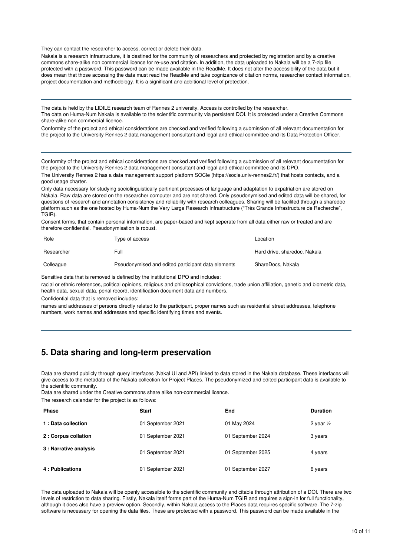They can contact the researcher to access, correct or delete their data.

Nakala is a research infrastructure, it is destined for the community of researchers and protected by registration and by a creative commons share-alike non commercial licence for re-use and citation. In addition, the data uploaded to Nakala will be a 7-zip file protected with a password. This password can be made available in the ReadMe. It does not alter the accessibility of the data but it does mean that those accessing the data must read the ReadMe and take cognizance of citation norms, researcher contact information, project documentation and methodology. It is a significant and additional level of protection.

The data is held by the LIDILE research team of Rennes 2 university. Access is controlled by the researcher. The data on Huma-Num Nakala is available to the scientific community via persistent DOI. It is protected under a Creative Commons share-alike non commercial licence.

Conformity of the project and ethical considerations are checked and verified following a submission of all relevant documentation for the project to the University Rennes 2 data management consultant and legal and ethical committee and its Data Protection Officer.

Conformity of the project and ethical considerations are checked and verified following a submission of all relevant documentation for the project to the University Rennes 2 data management consultant and legal and ethical committee and its DPO.

The University Rennes 2 has a data management support platform SOCle (https://socle.univ-rennes2.fr/) that hosts contacts, and a good usage charter.

Only data necessary for studying sociolinguistically pertinent processes of language and adaptation to expatriation are stored on Nakala. Raw data are stored on the researcher computer and are not shared. Only pseudonymised and edited data will be shared, for questions of research and annotation consistency and reliability with research colleagues. Sharing will be facilited through a sharedoc platform such as the one hosted by Huma-Num the Very Large Research Infrastructure ("Très Grande Infrastructure de Recherche", TGIR).

Consent forms, that contain personal information, are paper-based and kept seperate from all data either raw or treated and are therefore confidential. Pseudonymisation is robust.

| Role       | Type of access                                     | Location                     |
|------------|----------------------------------------------------|------------------------------|
| Researcher | Full                                               | Hard drive, sharedoc, Nakala |
| Colleague  | Pseudonymised and edited participant data elements | ShareDocs, Nakala            |

Sensitive data that is removed is defined by the institutional DPO and includes:

racial or ethnic references, political opinions, religious and philosophical convictions, trade union affiliation, genetic and biometric data, health data, sexual data, penal record, identification document data and numbers.

Confidential data that is removed includes:

names and addresses of persons directly related to the participant, proper names such as residential street addresses, telephone numbers, work names and addresses and specific identifying times and events.

### **5. Data sharing and long-term preservation**

Data are shared publicly through query interfaces (Nakal UI and API) linked to data stored in the Nakala database. These interfaces will give access to the metadata of the Nakala collection for Project Places. The pseudonymized and edited participant data is available to the scientific community.

Data are shared under the Creative commons share alike non-commercial licence.

The research calendar for the project is as follows:

| <b>Phase</b>           | <b>Start</b>      | End               | <b>Duration</b>      |
|------------------------|-------------------|-------------------|----------------------|
| 1 : Data collection    | 01 September 2021 | 01 May 2024       | 2 year $\frac{1}{2}$ |
| 2 : Corpus collation   | 01 September 2021 | 01 September 2024 | 3 years              |
| 3 : Narrative analysis | 01 September 2021 | 01 September 2025 | 4 years              |
| 4: Publications        | 01 September 2021 | 01 September 2027 | 6 years              |

The data uploaded to Nakala will be openly accessible to the scientific community and citable through attribution of a DOI. There are two levels of restriction to data sharing. Firstly, Nakala itself forms part of the Huma-Num TGIR and requires a sign-in for full functionality, although it does also have a preview option. Secondly, within Nakala access to the Places data requires specific software. The 7-zip software is necessary for opening the data files. These are protected with a password. This password can be made available in the